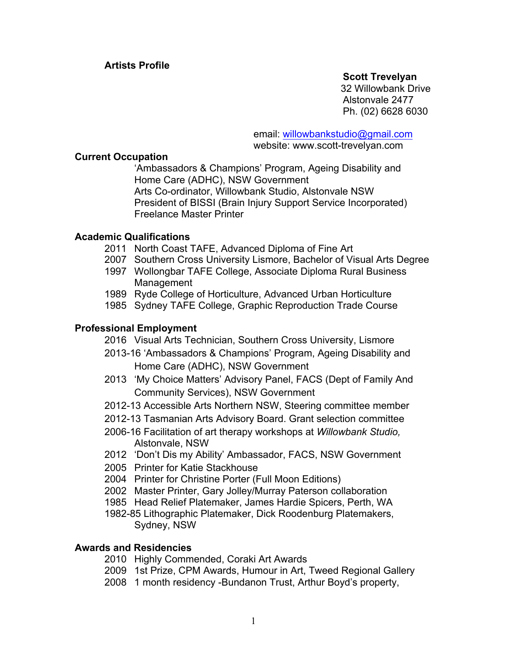## **Scott Trevelyan**

 32 Willowbank Drive Alstonvale 2477 Ph. (02) 6628 6030

email: willowbankstudio@gmail.com website: www.scott-trevelyan.com

### **Current Occupation**

'Ambassadors & Champions' Program, Ageing Disability and Home Care (ADHC), NSW Government Arts Co-ordinator, Willowbank Studio, Alstonvale NSW President of BISSI (Brain Injury Support Service Incorporated) Freelance Master Printer

# **Academic Qualifications**

- 2011 North Coast TAFE, Advanced Diploma of Fine Art
- 2007 Southern Cross University Lismore, Bachelor of Visual Arts Degree
- 1997 Wollongbar TAFE College, Associate Diploma Rural Business Management
- 1989 Ryde College of Horticulture, Advanced Urban Horticulture
- 1985 Sydney TAFE College, Graphic Reproduction Trade Course

# **Professional Employment**

2016 Visual Arts Technician, Southern Cross University, Lismore

- 2013-16 'Ambassadors & Champions' Program, Ageing Disability and Home Care (ADHC), NSW Government
- 2013 'My Choice Matters' Advisory Panel, FACS (Dept of Family And Community Services), NSW Government
- 2012-13 Accessible Arts Northern NSW, Steering committee member
- 2012-13 Tasmanian Arts Advisory Board. Grant selection committee
- 2006-16 Facilitation of art therapy workshops at *Willowbank Studio,* Alstonvale, NSW
- 2012 'Don't Dis my Ability' Ambassador, FACS, NSW Government
- 2005 Printer for Katie Stackhouse
- 2004 Printer for Christine Porter (Full Moon Editions)
- 2002 Master Printer, Gary Jolley/Murray Paterson collaboration
- 1985 Head Relief Platemaker, James Hardie Spicers, Perth, WA
- 1982-85 Lithographic Platemaker, Dick Roodenburg Platemakers, Sydney, NSW

#### **Awards and Residencies**

- 2010 Highly Commended, Coraki Art Awards
- 2009 1st Prize, CPM Awards, Humour in Art, Tweed Regional Gallery
- 2008 1 month residency -Bundanon Trust, Arthur Boyd's property,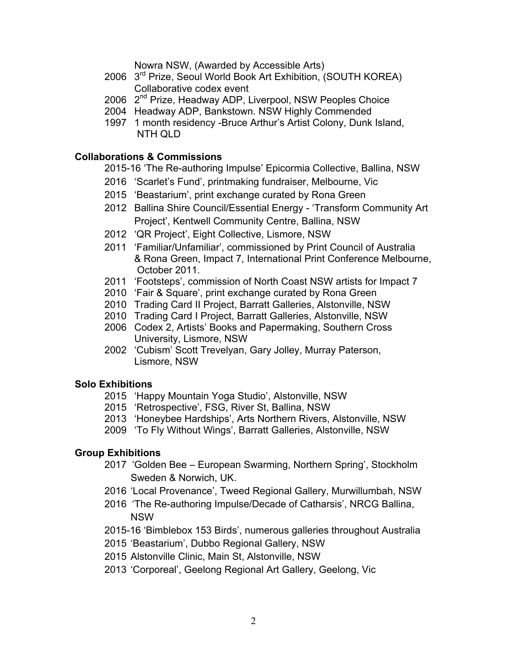Nowra NSW, (Awarded by Accessible Arts)

- 2006 3rd Prize, Seoul World Book Art Exhibition, (SOUTH KOREA) Collaborative codex event
- 2006 2<sup>nd</sup> Prize, Headway ADP, Liverpool, NSW Peoples Choice
- 2004 Headway ADP, Bankstown. NSW Highly Commended
- 1997 1 month residency -Bruce Arthur's Artist Colony, Dunk Island, NTH QLD

## **Collaborations & Commissions**

2015-16 'The Re-authoring Impulse' Epicormia Collective, Ballina, NSW

- 2016 'Scarlet's Fund', printmaking fundraiser, Melbourne, Vic
- 2015 'Beastarium', print exchange curated by Rona Green
- 2012 Ballina Shire Council/Essential Energy 'Transform Community Art Project', Kentwell Community Centre, Ballina, NSW
- 2012 'QR Project', Eight Collective, Lismore, NSW
- 2011 'Familiar/Unfamiliar', commissioned by Print Council of Australia & Rona Green, Impact 7, International Print Conference Melbourne, October 2011.
- 2011 'Footsteps', commission of North Coast NSW artists for Impact 7
- 2010 'Fair & Square', print exchange curated by Rona Green
- 2010 Trading Card II Project, Barratt Galleries, Alstonville, NSW
- 2010 Trading Card I Project, Barratt Galleries, Alstonville, NSW
- 2006 Codex 2, Artists' Books and Papermaking, Southern Cross University, Lismore, NSW
- 2002 'Cubism' Scott Trevelyan, Gary Jolley, Murray Paterson, Lismore, NSW

# **Solo Exhibitions**

- 2015 'Happy Mountain Yoga Studio', Alstonville, NSW
- 2015 'Retrospective', FSG, River St, Ballina, NSW
- 2013 'Honeybee Hardships', Arts Northern Rivers, Alstonville, NSW
- 2009 'To Fly Without Wings', Barratt Galleries, Alstonville, NSW

# **Group Exhibitions**

- 2017 'Golden Bee European Swarming, Northern Spring', Stockholm Sweden & Norwich, UK.
- 2016 'Local Provenance', Tweed Regional Gallery, Murwillumbah, NSW
- 2016 'The Re-authoring Impulse/Decade of Catharsis', NRCG Ballina, NSW
- 2015-16 'Bimblebox 153 Birds', numerous galleries throughout Australia
- 2015 'Beastarium', Dubbo Regional Gallery, NSW
- 2015 Alstonville Clinic, Main St, Alstonville, NSW
- 2013 'Corporeal', Geelong Regional Art Gallery, Geelong, Vic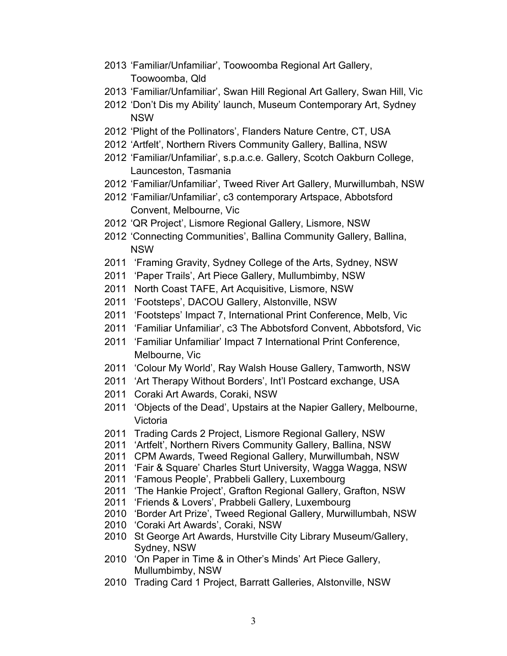- 'Familiar/Unfamiliar', Toowoomba Regional Art Gallery, Toowoomba, Qld
- 'Familiar/Unfamiliar', Swan Hill Regional Art Gallery, Swan Hill, Vic
- 'Don't Dis my Ability' launch, Museum Contemporary Art, Sydney NSW
- 'Plight of the Pollinators', Flanders Nature Centre, CT, USA
- 'Artfelt', Northern Rivers Community Gallery, Ballina, NSW
- 'Familiar/Unfamiliar', s.p.a.c.e. Gallery, Scotch Oakburn College, Launceston, Tasmania
- 'Familiar/Unfamiliar', Tweed River Art Gallery, Murwillumbah, NSW
- 'Familiar/Unfamiliar', c3 contemporary Artspace, Abbotsford Convent, Melbourne, Vic
- 'QR Project', Lismore Regional Gallery, Lismore, NSW
- 'Connecting Communities', Ballina Community Gallery, Ballina, NSW
- 'Framing Gravity, Sydney College of the Arts, Sydney, NSW
- 'Paper Trails', Art Piece Gallery, Mullumbimby, NSW
- North Coast TAFE, Art Acquisitive, Lismore, NSW
- 'Footsteps', DACOU Gallery, Alstonville, NSW
- 'Footsteps' Impact 7, International Print Conference, Melb, Vic
- 'Familiar Unfamiliar', c3 The Abbotsford Convent, Abbotsford, Vic
- 'Familiar Unfamiliar' Impact 7 International Print Conference, Melbourne, Vic
- 'Colour My World', Ray Walsh House Gallery, Tamworth, NSW
- 'Art Therapy Without Borders', Int'l Postcard exchange, USA
- Coraki Art Awards, Coraki, NSW
- 'Objects of the Dead', Upstairs at the Napier Gallery, Melbourne, Victoria
- Trading Cards 2 Project, Lismore Regional Gallery, NSW
- 'Artfelt', Northern Rivers Community Gallery, Ballina, NSW
- CPM Awards, Tweed Regional Gallery, Murwillumbah, NSW
- 'Fair & Square' Charles Sturt University, Wagga Wagga, NSW
- 'Famous People', Prabbeli Gallery, Luxembourg
- 'The Hankie Project', Grafton Regional Gallery, Grafton, NSW
- 'Friends & Lovers', Prabbeli Gallery, Luxembourg
- 'Border Art Prize', Tweed Regional Gallery, Murwillumbah, NSW
- 'Coraki Art Awards', Coraki, NSW
- St George Art Awards, Hurstville City Library Museum/Gallery, Sydney, NSW
- 'On Paper in Time & in Other's Minds' Art Piece Gallery, Mullumbimby, NSW
- Trading Card 1 Project, Barratt Galleries, Alstonville, NSW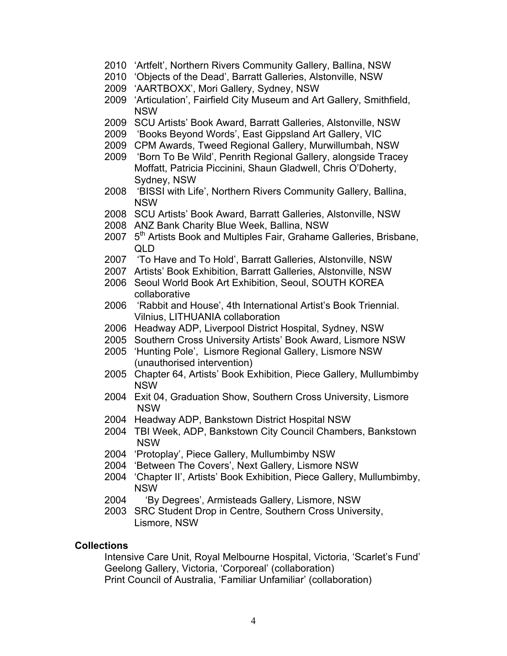- 2010 'Artfelt', Northern Rivers Community Gallery, Ballina, NSW
- 2010 'Objects of the Dead', Barratt Galleries, Alstonville, NSW
- 2009 'AARTBOXX', Mori Gallery, Sydney, NSW
- 2009 'Articulation', Fairfield City Museum and Art Gallery, Smithfield, NSW
- 2009 SCU Artists' Book Award, Barratt Galleries, Alstonville, NSW
- 2009 'Books Beyond Words', East Gippsland Art Gallery, VIC
- 2009 CPM Awards, Tweed Regional Gallery, Murwillumbah, NSW
- 2009 'Born To Be Wild', Penrith Regional Gallery, alongside Tracey Moffatt, Patricia Piccinini, Shaun Gladwell, Chris O'Doherty, Sydney, NSW
- 2008 'BISSI with Life', Northern Rivers Community Gallery, Ballina, NSW
- 2008 SCU Artists' Book Award, Barratt Galleries, Alstonville, NSW
- 2008 ANZ Bank Charity Blue Week, Ballina, NSW
- 2007 5<sup>th</sup> Artists Book and Multiples Fair, Grahame Galleries, Brisbane, QLD
- 2007 'To Have and To Hold', Barratt Galleries, Alstonville, NSW
- 2007 Artists' Book Exhibition, Barratt Galleries, Alstonville, NSW
- 2006 Seoul World Book Art Exhibition, Seoul, SOUTH KOREA collaborative
- 2006 'Rabbit and House', 4th International Artist's Book Triennial. Vilnius, LITHUANIA collaboration
- 2006 Headway ADP, Liverpool District Hospital, Sydney, NSW
- 2005 Southern Cross University Artists' Book Award, Lismore NSW
- 2005 'Hunting Pole', Lismore Regional Gallery, Lismore NSW (unauthorised intervention)
- 2005 Chapter 64, Artists' Book Exhibition, Piece Gallery, Mullumbimby NSW
- 2004 Exit 04, Graduation Show, Southern Cross University, Lismore NSW
- 2004 Headway ADP, Bankstown District Hospital NSW
- 2004 TBI Week, ADP, Bankstown City Council Chambers, Bankstown NSW
- 2004 'Protoplay', Piece Gallery, Mullumbimby NSW
- 2004 'Between The Covers', Next Gallery, Lismore NSW
- 2004 'Chapter II', Artists' Book Exhibition, Piece Gallery, Mullumbimby, NSW
- 2004 'By Degrees', Armisteads Gallery, Lismore, NSW
- 2003 SRC Student Drop in Centre, Southern Cross University, Lismore, NSW

#### **Collections**

Intensive Care Unit, Royal Melbourne Hospital, Victoria, 'Scarlet's Fund' Geelong Gallery, Victoria, 'Corporeal' (collaboration) Print Council of Australia, 'Familiar Unfamiliar' (collaboration)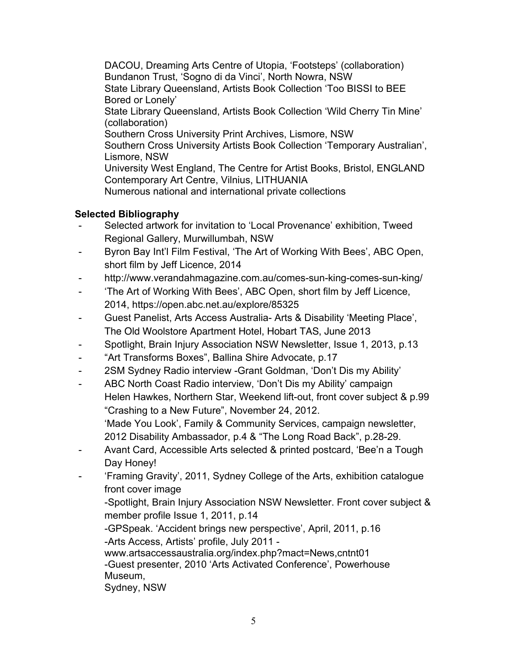DACOU, Dreaming Arts Centre of Utopia, 'Footsteps' (collaboration) Bundanon Trust, 'Sogno di da Vinci', North Nowra, NSW State Library Queensland, Artists Book Collection 'Too BISSI to BEE Bored or Lonely' State Library Queensland, Artists Book Collection 'Wild Cherry Tin Mine' (collaboration) Southern Cross University Print Archives, Lismore, NSW Southern Cross University Artists Book Collection 'Temporary Australian', Lismore, NSW University West England, The Centre for Artist Books, Bristol, ENGLAND Contemporary Art Centre, Vilnius, LITHUANIA Numerous national and international private collections

# **Selected Bibliography**

- Selected artwork for invitation to 'Local Provenance' exhibition, Tweed Regional Gallery, Murwillumbah, NSW
- Byron Bay Int'l Film Festival, 'The Art of Working With Bees', ABC Open, short film by Jeff Licence, 2014
- http://www.verandahmagazine.com.au/comes-sun-king-comes-sun-king/
- 'The Art of Working With Bees', ABC Open, short film by Jeff Licence, 2014, https://open.abc.net.au/explore/85325
- Guest Panelist, Arts Access Australia- Arts & Disability 'Meeting Place', The Old Woolstore Apartment Hotel, Hobart TAS, June 2013
- Spotlight, Brain Injury Association NSW Newsletter, Issue 1, 2013, p.13
- "Art Transforms Boxes", Ballina Shire Advocate, p.17
- 2SM Sydney Radio interview -Grant Goldman, 'Don't Dis my Ability'
- ABC North Coast Radio interview, 'Don't Dis my Ability' campaign Helen Hawkes, Northern Star, Weekend lift-out, front cover subject & p.99 "Crashing to a New Future", November 24, 2012. 'Made You Look', Family & Community Services, campaign newsletter, 2012 Disability Ambassador, p.4 & "The Long Road Back", p.28-29.
- Avant Card, Accessible Arts selected & printed postcard, 'Bee'n a Tough Day Honey!
- 'Framing Gravity', 2011, Sydney College of the Arts, exhibition catalogue front cover image

-Spotlight, Brain Injury Association NSW Newsletter. Front cover subject & member profile Issue 1, 2011, p.14

-GPSpeak. 'Accident brings new perspective', April, 2011, p.16

-Arts Access, Artists' profile, July 2011 -

www.artsaccessaustralia.org/index.php?mact=News,cntnt01 -Guest presenter, 2010 'Arts Activated Conference', Powerhouse Museum,

Sydney, NSW